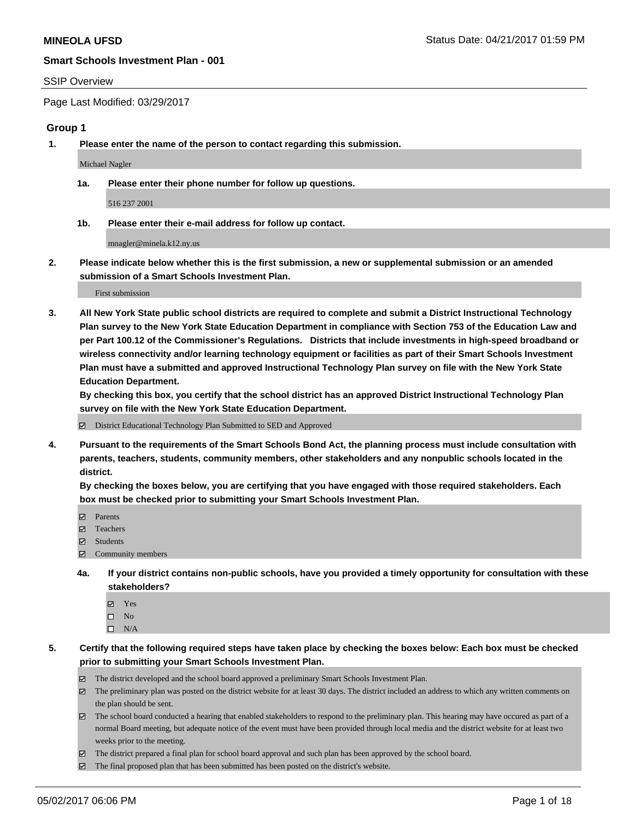#### SSIP Overview

Page Last Modified: 03/29/2017

## **Group 1**

**1. Please enter the name of the person to contact regarding this submission.**

Michael Nagler

**1a. Please enter their phone number for follow up questions.**

516 237 2001

**1b. Please enter their e-mail address for follow up contact.**

mnagler@minela.k12.ny.us

**2. Please indicate below whether this is the first submission, a new or supplemental submission or an amended submission of a Smart Schools Investment Plan.**

First submission

**3. All New York State public school districts are required to complete and submit a District Instructional Technology Plan survey to the New York State Education Department in compliance with Section 753 of the Education Law and per Part 100.12 of the Commissioner's Regulations. Districts that include investments in high-speed broadband or wireless connectivity and/or learning technology equipment or facilities as part of their Smart Schools Investment Plan must have a submitted and approved Instructional Technology Plan survey on file with the New York State Education Department.** 

**By checking this box, you certify that the school district has an approved District Instructional Technology Plan survey on file with the New York State Education Department.**

District Educational Technology Plan Submitted to SED and Approved

**4. Pursuant to the requirements of the Smart Schools Bond Act, the planning process must include consultation with parents, teachers, students, community members, other stakeholders and any nonpublic schools located in the district.** 

**By checking the boxes below, you are certifying that you have engaged with those required stakeholders. Each box must be checked prior to submitting your Smart Schools Investment Plan.**

- **マ** Parents
- □ Teachers
- Students
- $\Xi$  Community members
- **4a. If your district contains non-public schools, have you provided a timely opportunity for consultation with these stakeholders?**
	- Yes
	- $\hfill \square$  No
	- $\square$  N/A
- **5. Certify that the following required steps have taken place by checking the boxes below: Each box must be checked prior to submitting your Smart Schools Investment Plan.**
	- The district developed and the school board approved a preliminary Smart Schools Investment Plan.
	- $\boxtimes$  The preliminary plan was posted on the district website for at least 30 days. The district included an address to which any written comments on the plan should be sent.
	- $\boxtimes$  The school board conducted a hearing that enabled stakeholders to respond to the preliminary plan. This hearing may have occured as part of a normal Board meeting, but adequate notice of the event must have been provided through local media and the district website for at least two weeks prior to the meeting.
	- The district prepared a final plan for school board approval and such plan has been approved by the school board.
	- $\boxtimes$  The final proposed plan that has been submitted has been posted on the district's website.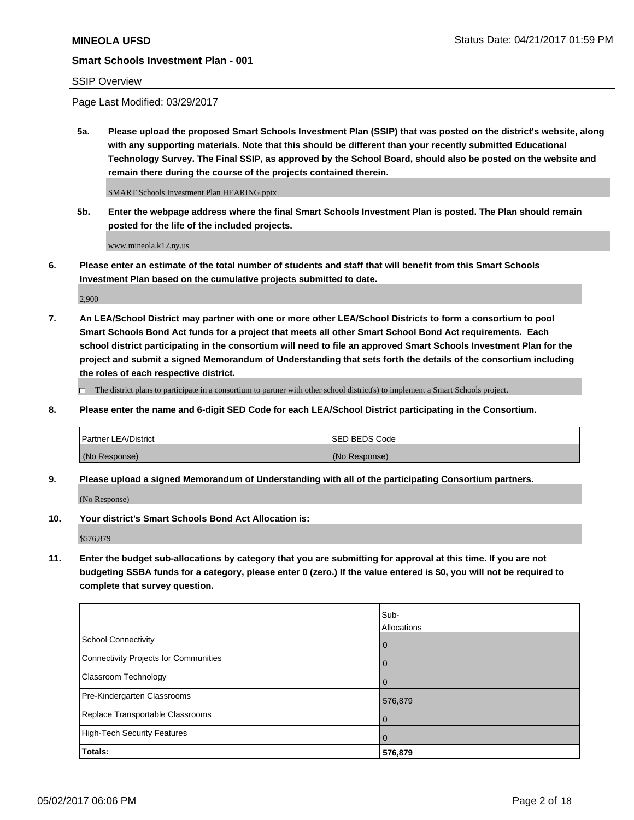### SSIP Overview

Page Last Modified: 03/29/2017

**5a. Please upload the proposed Smart Schools Investment Plan (SSIP) that was posted on the district's website, along with any supporting materials. Note that this should be different than your recently submitted Educational Technology Survey. The Final SSIP, as approved by the School Board, should also be posted on the website and remain there during the course of the projects contained therein.**

SMART Schools Investment Plan HEARING.pptx

**5b. Enter the webpage address where the final Smart Schools Investment Plan is posted. The Plan should remain posted for the life of the included projects.**

www.mineola.k12.ny.us

**6. Please enter an estimate of the total number of students and staff that will benefit from this Smart Schools Investment Plan based on the cumulative projects submitted to date.**

2,900

**7. An LEA/School District may partner with one or more other LEA/School Districts to form a consortium to pool Smart Schools Bond Act funds for a project that meets all other Smart School Bond Act requirements. Each school district participating in the consortium will need to file an approved Smart Schools Investment Plan for the project and submit a signed Memorandum of Understanding that sets forth the details of the consortium including the roles of each respective district.**

 $\Box$  The district plans to participate in a consortium to partner with other school district(s) to implement a Smart Schools project.

**8. Please enter the name and 6-digit SED Code for each LEA/School District participating in the Consortium.**

| <b>Partner LEA/District</b> | <b>ISED BEDS Code</b> |
|-----------------------------|-----------------------|
| (No Response)               | (No Response)         |

**9. Please upload a signed Memorandum of Understanding with all of the participating Consortium partners.**

(No Response)

**10. Your district's Smart Schools Bond Act Allocation is:**

\$576,879

**11. Enter the budget sub-allocations by category that you are submitting for approval at this time. If you are not budgeting SSBA funds for a category, please enter 0 (zero.) If the value entered is \$0, you will not be required to complete that survey question.**

|                                              | Allocations    |
|----------------------------------------------|----------------|
| <b>School Connectivity</b>                   | $\overline{0}$ |
| <b>Connectivity Projects for Communities</b> | $\overline{0}$ |
| Classroom Technology                         | $\mathbf 0$    |
| Pre-Kindergarten Classrooms                  | 576,879        |
| Replace Transportable Classrooms             | $\overline{0}$ |
| <b>High-Tech Security Features</b>           | $\overline{0}$ |
| Totals:                                      | 576,879        |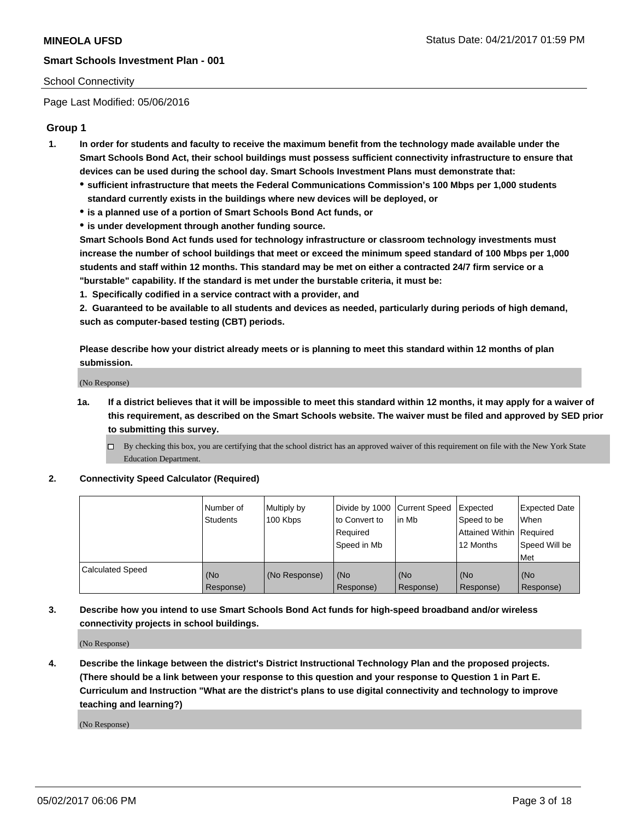### School Connectivity

Page Last Modified: 05/06/2016

## **Group 1**

- **1. In order for students and faculty to receive the maximum benefit from the technology made available under the Smart Schools Bond Act, their school buildings must possess sufficient connectivity infrastructure to ensure that devices can be used during the school day. Smart Schools Investment Plans must demonstrate that:**
	- **sufficient infrastructure that meets the Federal Communications Commission's 100 Mbps per 1,000 students standard currently exists in the buildings where new devices will be deployed, or**
	- **is a planned use of a portion of Smart Schools Bond Act funds, or**
	- **is under development through another funding source.**

**Smart Schools Bond Act funds used for technology infrastructure or classroom technology investments must increase the number of school buildings that meet or exceed the minimum speed standard of 100 Mbps per 1,000 students and staff within 12 months. This standard may be met on either a contracted 24/7 firm service or a "burstable" capability. If the standard is met under the burstable criteria, it must be:**

**1. Specifically codified in a service contract with a provider, and**

**2. Guaranteed to be available to all students and devices as needed, particularly during periods of high demand, such as computer-based testing (CBT) periods.**

**Please describe how your district already meets or is planning to meet this standard within 12 months of plan submission.**

(No Response)

- **1a. If a district believes that it will be impossible to meet this standard within 12 months, it may apply for a waiver of this requirement, as described on the Smart Schools website. The waiver must be filed and approved by SED prior to submitting this survey.**
	- By checking this box, you are certifying that the school district has an approved waiver of this requirement on file with the New York State Education Department.

### **2. Connectivity Speed Calculator (Required)**

|                         | l Number of<br><b>Students</b> | Multiply by<br>100 Kbps | Divide by 1000   Current Speed<br>to Convert to<br>Required<br>l Speed in Mb | in Mb            | Expected<br>Speed to be<br>Attained Within Required<br>12 Months | <b>Expected Date</b><br>When<br>Speed Will be<br><b>Met</b> |
|-------------------------|--------------------------------|-------------------------|------------------------------------------------------------------------------|------------------|------------------------------------------------------------------|-------------------------------------------------------------|
| <b>Calculated Speed</b> | (No<br>Response)               | (No Response)           | (No<br>Response)                                                             | (No<br>Response) | (No<br>Response)                                                 | l (No<br>Response)                                          |

# **3. Describe how you intend to use Smart Schools Bond Act funds for high-speed broadband and/or wireless connectivity projects in school buildings.**

(No Response)

**4. Describe the linkage between the district's District Instructional Technology Plan and the proposed projects. (There should be a link between your response to this question and your response to Question 1 in Part E. Curriculum and Instruction "What are the district's plans to use digital connectivity and technology to improve teaching and learning?)**

(No Response)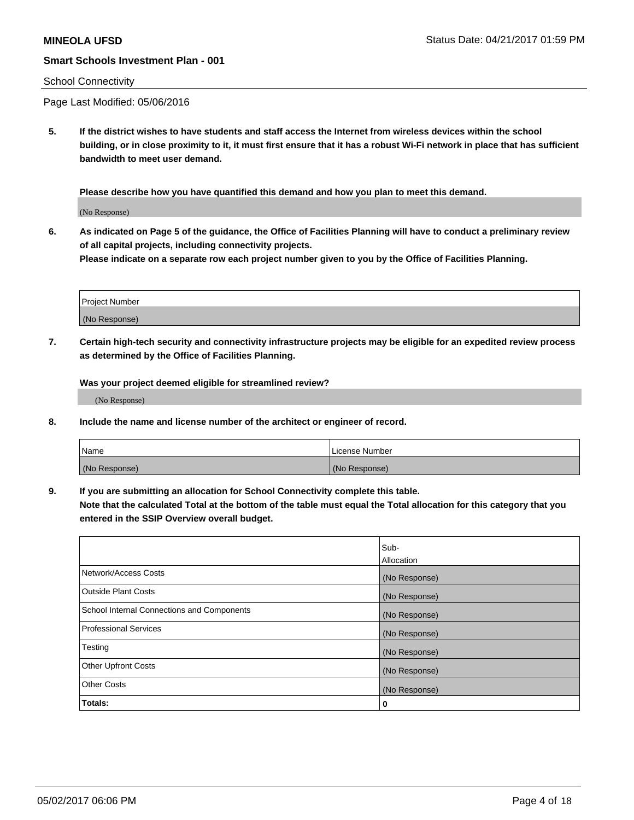### School Connectivity

Page Last Modified: 05/06/2016

**5. If the district wishes to have students and staff access the Internet from wireless devices within the school building, or in close proximity to it, it must first ensure that it has a robust Wi-Fi network in place that has sufficient bandwidth to meet user demand.**

**Please describe how you have quantified this demand and how you plan to meet this demand.**

(No Response)

**6. As indicated on Page 5 of the guidance, the Office of Facilities Planning will have to conduct a preliminary review of all capital projects, including connectivity projects.**

**Please indicate on a separate row each project number given to you by the Office of Facilities Planning.**

| Project Number |  |
|----------------|--|
| (No Response)  |  |

**7. Certain high-tech security and connectivity infrastructure projects may be eligible for an expedited review process as determined by the Office of Facilities Planning.**

**Was your project deemed eligible for streamlined review?**

(No Response)

**8. Include the name and license number of the architect or engineer of record.**

| Name          | License Number |
|---------------|----------------|
| (No Response) | (No Response)  |

**9. If you are submitting an allocation for School Connectivity complete this table.**

**Note that the calculated Total at the bottom of the table must equal the Total allocation for this category that you entered in the SSIP Overview overall budget.** 

|                                            | Sub-          |
|--------------------------------------------|---------------|
|                                            | Allocation    |
| Network/Access Costs                       | (No Response) |
| Outside Plant Costs                        | (No Response) |
| School Internal Connections and Components | (No Response) |
| <b>Professional Services</b>               | (No Response) |
| Testing                                    | (No Response) |
| <b>Other Upfront Costs</b>                 | (No Response) |
| <b>Other Costs</b>                         | (No Response) |
| Totals:                                    | 0             |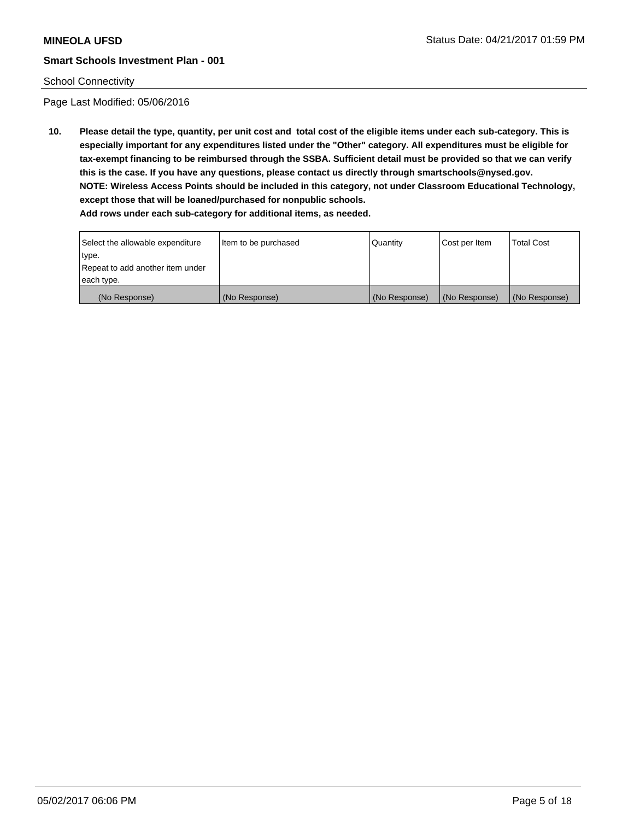## School Connectivity

Page Last Modified: 05/06/2016

**10. Please detail the type, quantity, per unit cost and total cost of the eligible items under each sub-category. This is especially important for any expenditures listed under the "Other" category. All expenditures must be eligible for tax-exempt financing to be reimbursed through the SSBA. Sufficient detail must be provided so that we can verify this is the case. If you have any questions, please contact us directly through smartschools@nysed.gov. NOTE: Wireless Access Points should be included in this category, not under Classroom Educational Technology, except those that will be loaned/purchased for nonpublic schools.**

| Select the allowable expenditure | Item to be purchased | Quantity      | Cost per Item | Total Cost    |
|----------------------------------|----------------------|---------------|---------------|---------------|
| type.                            |                      |               |               |               |
| Repeat to add another item under |                      |               |               |               |
| each type.                       |                      |               |               |               |
| (No Response)                    | (No Response)        | (No Response) | (No Response) | (No Response) |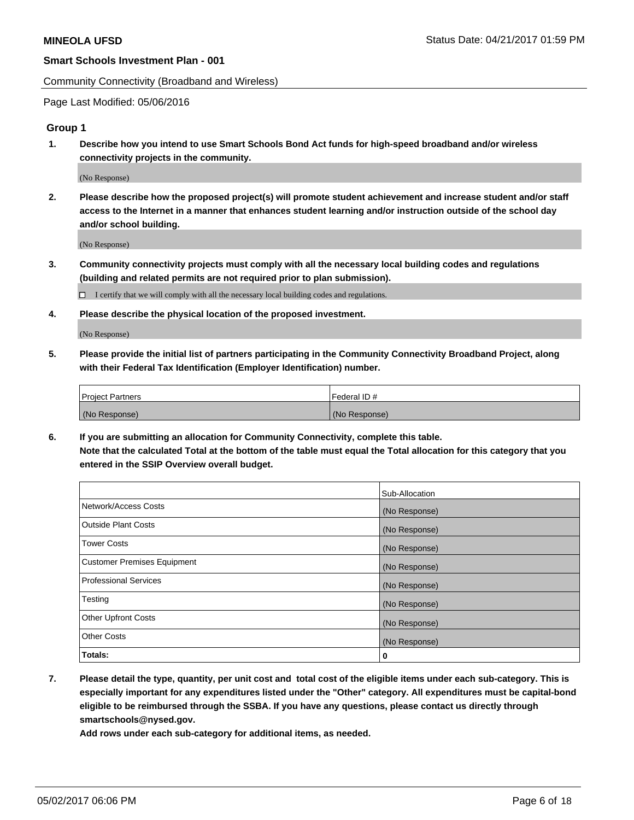Community Connectivity (Broadband and Wireless)

Page Last Modified: 05/06/2016

### **Group 1**

**1. Describe how you intend to use Smart Schools Bond Act funds for high-speed broadband and/or wireless connectivity projects in the community.**

(No Response)

**2. Please describe how the proposed project(s) will promote student achievement and increase student and/or staff access to the Internet in a manner that enhances student learning and/or instruction outside of the school day and/or school building.**

(No Response)

**3. Community connectivity projects must comply with all the necessary local building codes and regulations (building and related permits are not required prior to plan submission).**

 $\Box$  I certify that we will comply with all the necessary local building codes and regulations.

**4. Please describe the physical location of the proposed investment.**

(No Response)

**5. Please provide the initial list of partners participating in the Community Connectivity Broadband Project, along with their Federal Tax Identification (Employer Identification) number.**

| <b>Project Partners</b> | <sup>I</sup> Federal ID # |
|-------------------------|---------------------------|
| (No Response)           | (No Response)             |

**6. If you are submitting an allocation for Community Connectivity, complete this table. Note that the calculated Total at the bottom of the table must equal the Total allocation for this category that you entered in the SSIP Overview overall budget.**

|                                    | Sub-Allocation |
|------------------------------------|----------------|
| Network/Access Costs               | (No Response)  |
| Outside Plant Costs                | (No Response)  |
| <b>Tower Costs</b>                 | (No Response)  |
| <b>Customer Premises Equipment</b> | (No Response)  |
| <b>Professional Services</b>       | (No Response)  |
| Testing                            | (No Response)  |
| <b>Other Upfront Costs</b>         | (No Response)  |
| <b>Other Costs</b>                 | (No Response)  |
| Totals:                            | 0              |

**7. Please detail the type, quantity, per unit cost and total cost of the eligible items under each sub-category. This is especially important for any expenditures listed under the "Other" category. All expenditures must be capital-bond eligible to be reimbursed through the SSBA. If you have any questions, please contact us directly through smartschools@nysed.gov.**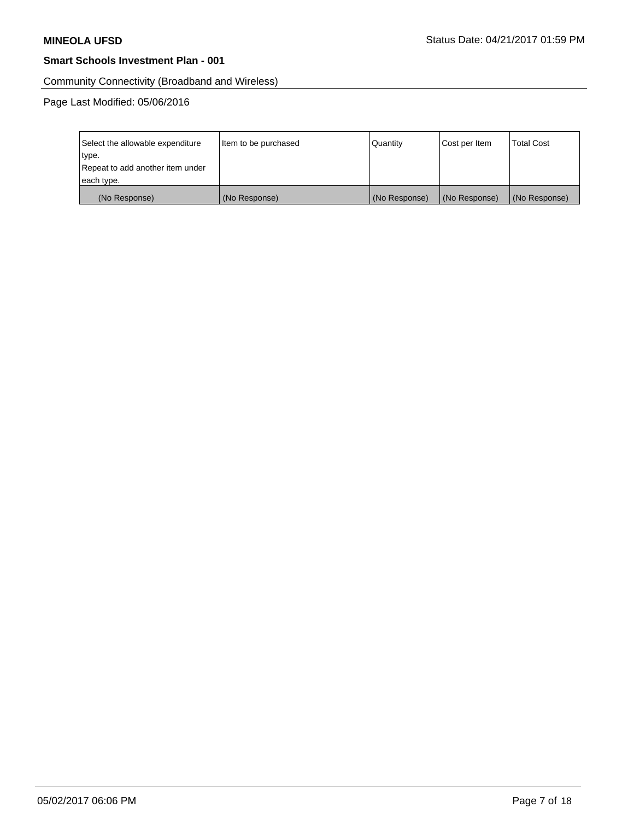Community Connectivity (Broadband and Wireless)

Page Last Modified: 05/06/2016

| Select the allowable expenditure | Item to be purchased | Quantity      | Cost per Item | <b>Total Cost</b> |
|----------------------------------|----------------------|---------------|---------------|-------------------|
| type.                            |                      |               |               |                   |
| Repeat to add another item under |                      |               |               |                   |
| each type.                       |                      |               |               |                   |
| (No Response)                    | (No Response)        | (No Response) | (No Response) | (No Response)     |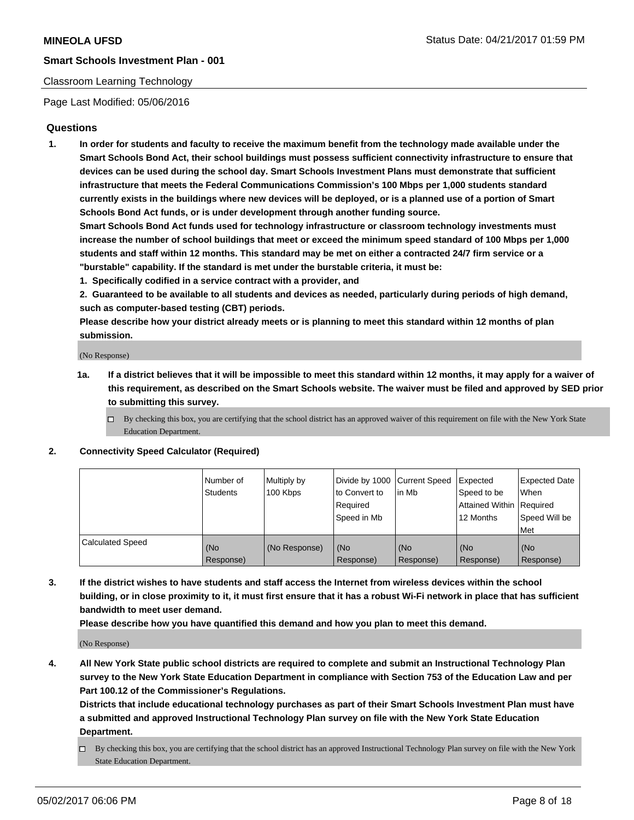### Classroom Learning Technology

Page Last Modified: 05/06/2016

## **Questions**

**1. In order for students and faculty to receive the maximum benefit from the technology made available under the Smart Schools Bond Act, their school buildings must possess sufficient connectivity infrastructure to ensure that devices can be used during the school day. Smart Schools Investment Plans must demonstrate that sufficient infrastructure that meets the Federal Communications Commission's 100 Mbps per 1,000 students standard currently exists in the buildings where new devices will be deployed, or is a planned use of a portion of Smart Schools Bond Act funds, or is under development through another funding source.**

**Smart Schools Bond Act funds used for technology infrastructure or classroom technology investments must increase the number of school buildings that meet or exceed the minimum speed standard of 100 Mbps per 1,000 students and staff within 12 months. This standard may be met on either a contracted 24/7 firm service or a "burstable" capability. If the standard is met under the burstable criteria, it must be:**

- **1. Specifically codified in a service contract with a provider, and**
- **2. Guaranteed to be available to all students and devices as needed, particularly during periods of high demand, such as computer-based testing (CBT) periods.**

**Please describe how your district already meets or is planning to meet this standard within 12 months of plan submission.**

(No Response)

- **1a. If a district believes that it will be impossible to meet this standard within 12 months, it may apply for a waiver of this requirement, as described on the Smart Schools website. The waiver must be filed and approved by SED prior to submitting this survey.**
	- $\Box$  By checking this box, you are certifying that the school district has an approved waiver of this requirement on file with the New York State Education Department.

### **2. Connectivity Speed Calculator (Required)**

|                         | l Number of<br>Students | Multiply by<br>100 Kbps | Divide by 1000   Current Speed<br>to Convert to<br>Required<br>Speed in Mb | lin Mb           | Expected<br>Speed to be<br>Attained Within Required<br>12 Months | <b>Expected Date</b><br>When<br>Speed Will be<br>Met |
|-------------------------|-------------------------|-------------------------|----------------------------------------------------------------------------|------------------|------------------------------------------------------------------|------------------------------------------------------|
| <b>Calculated Speed</b> | (No<br>Response)        | (No Response)           | (No<br>Response)                                                           | (No<br>Response) | (No<br>Response)                                                 | (No<br>Response)                                     |

**3. If the district wishes to have students and staff access the Internet from wireless devices within the school building, or in close proximity to it, it must first ensure that it has a robust Wi-Fi network in place that has sufficient bandwidth to meet user demand.**

**Please describe how you have quantified this demand and how you plan to meet this demand.**

(No Response)

**4. All New York State public school districts are required to complete and submit an Instructional Technology Plan survey to the New York State Education Department in compliance with Section 753 of the Education Law and per Part 100.12 of the Commissioner's Regulations.**

**Districts that include educational technology purchases as part of their Smart Schools Investment Plan must have a submitted and approved Instructional Technology Plan survey on file with the New York State Education Department.**

 $\Box$  By checking this box, you are certifying that the school district has an approved Instructional Technology Plan survey on file with the New York State Education Department.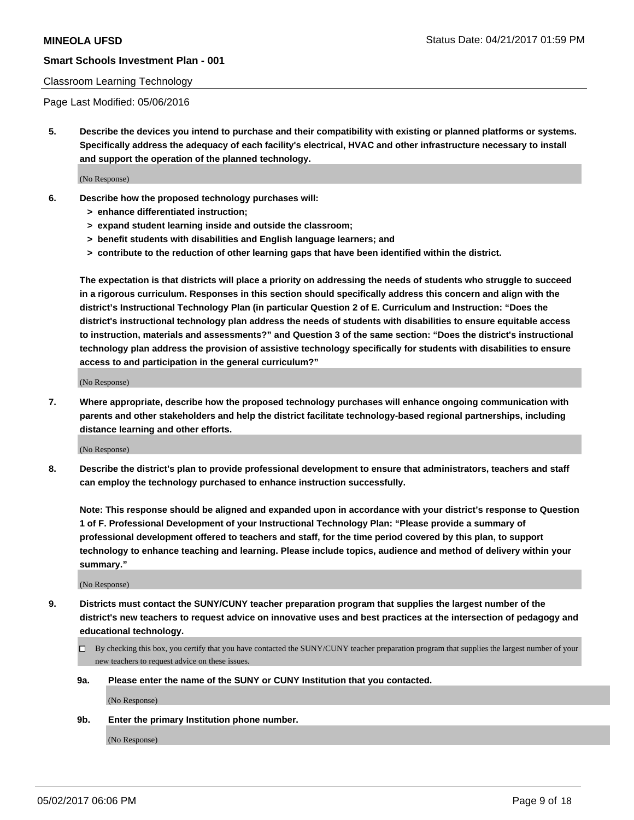#### Classroom Learning Technology

Page Last Modified: 05/06/2016

**5. Describe the devices you intend to purchase and their compatibility with existing or planned platforms or systems. Specifically address the adequacy of each facility's electrical, HVAC and other infrastructure necessary to install and support the operation of the planned technology.**

(No Response)

- **6. Describe how the proposed technology purchases will:**
	- **> enhance differentiated instruction;**
	- **> expand student learning inside and outside the classroom;**
	- **> benefit students with disabilities and English language learners; and**
	- **> contribute to the reduction of other learning gaps that have been identified within the district.**

**The expectation is that districts will place a priority on addressing the needs of students who struggle to succeed in a rigorous curriculum. Responses in this section should specifically address this concern and align with the district's Instructional Technology Plan (in particular Question 2 of E. Curriculum and Instruction: "Does the district's instructional technology plan address the needs of students with disabilities to ensure equitable access to instruction, materials and assessments?" and Question 3 of the same section: "Does the district's instructional technology plan address the provision of assistive technology specifically for students with disabilities to ensure access to and participation in the general curriculum?"**

(No Response)

**7. Where appropriate, describe how the proposed technology purchases will enhance ongoing communication with parents and other stakeholders and help the district facilitate technology-based regional partnerships, including distance learning and other efforts.**

(No Response)

**8. Describe the district's plan to provide professional development to ensure that administrators, teachers and staff can employ the technology purchased to enhance instruction successfully.**

**Note: This response should be aligned and expanded upon in accordance with your district's response to Question 1 of F. Professional Development of your Instructional Technology Plan: "Please provide a summary of professional development offered to teachers and staff, for the time period covered by this plan, to support technology to enhance teaching and learning. Please include topics, audience and method of delivery within your summary."**

(No Response)

- **9. Districts must contact the SUNY/CUNY teacher preparation program that supplies the largest number of the district's new teachers to request advice on innovative uses and best practices at the intersection of pedagogy and educational technology.**
	- By checking this box, you certify that you have contacted the SUNY/CUNY teacher preparation program that supplies the largest number of your new teachers to request advice on these issues.
	- **9a. Please enter the name of the SUNY or CUNY Institution that you contacted.**

(No Response)

**9b. Enter the primary Institution phone number.**

(No Response)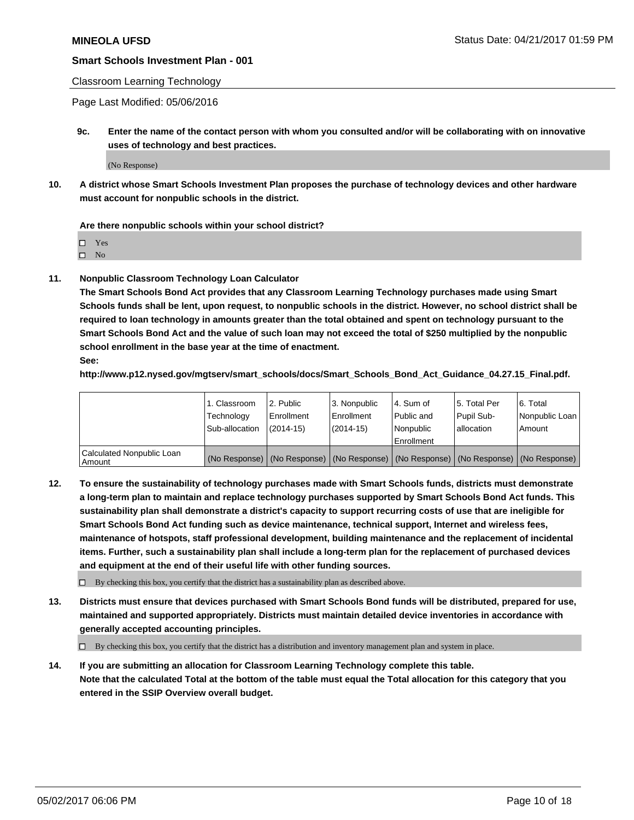### Classroom Learning Technology

Page Last Modified: 05/06/2016

**9c. Enter the name of the contact person with whom you consulted and/or will be collaborating with on innovative uses of technology and best practices.**

(No Response)

**10. A district whose Smart Schools Investment Plan proposes the purchase of technology devices and other hardware must account for nonpublic schools in the district.**

**Are there nonpublic schools within your school district?**

Yes

 $\square$  No

**11. Nonpublic Classroom Technology Loan Calculator**

**The Smart Schools Bond Act provides that any Classroom Learning Technology purchases made using Smart Schools funds shall be lent, upon request, to nonpublic schools in the district. However, no school district shall be required to loan technology in amounts greater than the total obtained and spent on technology pursuant to the Smart Schools Bond Act and the value of such loan may not exceed the total of \$250 multiplied by the nonpublic school enrollment in the base year at the time of enactment.**

**See:**

**http://www.p12.nysed.gov/mgtserv/smart\_schools/docs/Smart\_Schools\_Bond\_Act\_Guidance\_04.27.15\_Final.pdf.**

|                                       | 1. Classroom   | l 2. Public   | 3. Nonpublic | l 4. Sum of | 15. Total Per                                                                                 | 6. Total       |
|---------------------------------------|----------------|---------------|--------------|-------------|-----------------------------------------------------------------------------------------------|----------------|
|                                       | Technology     | Enrollment    | Enrollment   | Public and  | Pupil Sub-                                                                                    | Nonpublic Loan |
|                                       | Sub-allocation | $(2014 - 15)$ | $(2014-15)$  | l Nonpublic | allocation                                                                                    | Amount         |
|                                       |                |               |              | Enrollment  |                                                                                               |                |
| Calculated Nonpublic Loan<br>  Amount |                |               |              |             | (No Response)   (No Response)   (No Response)   (No Response)   (No Response)   (No Response) |                |

**12. To ensure the sustainability of technology purchases made with Smart Schools funds, districts must demonstrate a long-term plan to maintain and replace technology purchases supported by Smart Schools Bond Act funds. This sustainability plan shall demonstrate a district's capacity to support recurring costs of use that are ineligible for Smart Schools Bond Act funding such as device maintenance, technical support, Internet and wireless fees, maintenance of hotspots, staff professional development, building maintenance and the replacement of incidental items. Further, such a sustainability plan shall include a long-term plan for the replacement of purchased devices and equipment at the end of their useful life with other funding sources.**

 $\Box$  By checking this box, you certify that the district has a sustainability plan as described above.

**13. Districts must ensure that devices purchased with Smart Schools Bond funds will be distributed, prepared for use, maintained and supported appropriately. Districts must maintain detailed device inventories in accordance with generally accepted accounting principles.**

By checking this box, you certify that the district has a distribution and inventory management plan and system in place.

**14. If you are submitting an allocation for Classroom Learning Technology complete this table. Note that the calculated Total at the bottom of the table must equal the Total allocation for this category that you entered in the SSIP Overview overall budget.**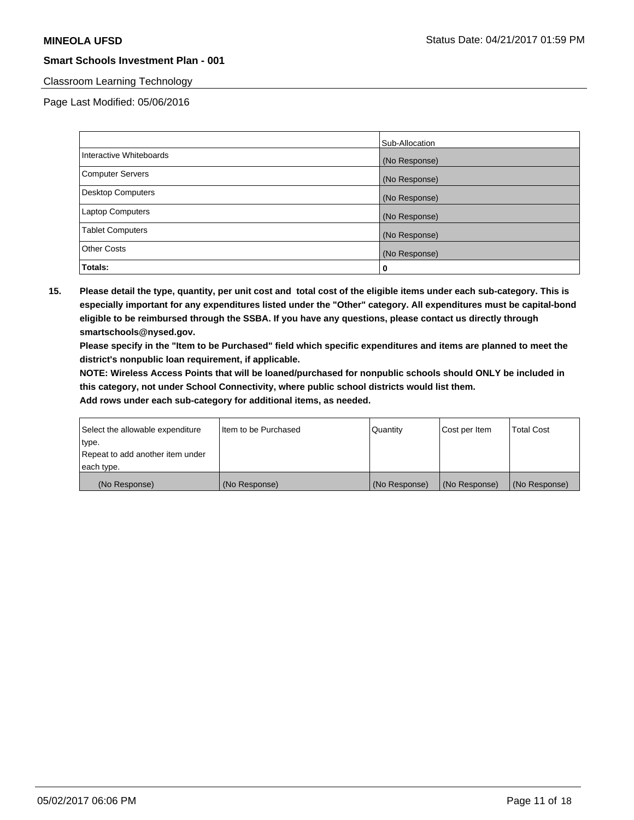## Classroom Learning Technology

Page Last Modified: 05/06/2016

|                          | Sub-Allocation |
|--------------------------|----------------|
| Interactive Whiteboards  | (No Response)  |
| Computer Servers         | (No Response)  |
| <b>Desktop Computers</b> | (No Response)  |
| <b>Laptop Computers</b>  | (No Response)  |
| <b>Tablet Computers</b>  | (No Response)  |
| <b>Other Costs</b>       | (No Response)  |
| Totals:                  | 0              |

**15. Please detail the type, quantity, per unit cost and total cost of the eligible items under each sub-category. This is especially important for any expenditures listed under the "Other" category. All expenditures must be capital-bond eligible to be reimbursed through the SSBA. If you have any questions, please contact us directly through smartschools@nysed.gov.**

**Please specify in the "Item to be Purchased" field which specific expenditures and items are planned to meet the district's nonpublic loan requirement, if applicable.**

**NOTE: Wireless Access Points that will be loaned/purchased for nonpublic schools should ONLY be included in this category, not under School Connectivity, where public school districts would list them.**

| Select the allowable expenditure | Iltem to be Purchased | Quantity      | Cost per Item | <b>Total Cost</b> |
|----------------------------------|-----------------------|---------------|---------------|-------------------|
| type.                            |                       |               |               |                   |
| Repeat to add another item under |                       |               |               |                   |
| each type.                       |                       |               |               |                   |
| (No Response)                    | (No Response)         | (No Response) | (No Response) | (No Response)     |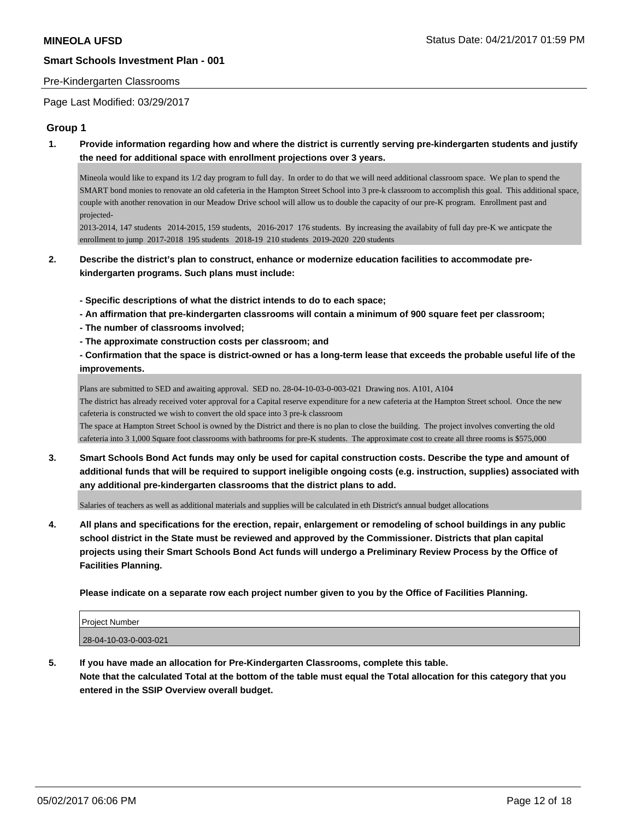#### Pre-Kindergarten Classrooms

Page Last Modified: 03/29/2017

## **Group 1**

**1. Provide information regarding how and where the district is currently serving pre-kindergarten students and justify the need for additional space with enrollment projections over 3 years.**

Mineola would like to expand its 1/2 day program to full day. In order to do that we will need additional classroom space. We plan to spend the SMART bond monies to renovate an old cafeteria in the Hampton Street School into 3 pre-k classroom to accomplish this goal. This additional space, couple with another renovation in our Meadow Drive school will allow us to double the capacity of our pre-K program. Enrollment past and projected-

2013-2014, 147 students 2014-2015, 159 students, 2016-2017 176 students. By increasing the availabity of full day pre-K we anticpate the enrollment to jump 2017-2018 195 students 2018-19 210 students 2019-2020 220 students

- **2. Describe the district's plan to construct, enhance or modernize education facilities to accommodate prekindergarten programs. Such plans must include:**
	- **Specific descriptions of what the district intends to do to each space;**
	- **An affirmation that pre-kindergarten classrooms will contain a minimum of 900 square feet per classroom;**
	- **The number of classrooms involved;**
	- **The approximate construction costs per classroom; and**
	- **Confirmation that the space is district-owned or has a long-term lease that exceeds the probable useful life of the improvements.**

Plans are submitted to SED and awaiting approval. SED no. 28-04-10-03-0-003-021 Drawing nos. A101, A104

The district has already received voter approval for a Capital reserve expenditure for a new cafeteria at the Hampton Street school. Once the new cafeteria is constructed we wish to convert the old space into 3 pre-k classroom

The space at Hampton Street School is owned by the District and there is no plan to close the building. The project involves converting the old cafeteria into 3 1,000 Square foot classrooms with bathrooms for pre-K students. The approximate cost to create all three rooms is \$575,000

**3. Smart Schools Bond Act funds may only be used for capital construction costs. Describe the type and amount of additional funds that will be required to support ineligible ongoing costs (e.g. instruction, supplies) associated with any additional pre-kindergarten classrooms that the district plans to add.**

Salaries of teachers as well as additional materials and supplies will be calculated in eth District's annual budget allocations

**4. All plans and specifications for the erection, repair, enlargement or remodeling of school buildings in any public school district in the State must be reviewed and approved by the Commissioner. Districts that plan capital projects using their Smart Schools Bond Act funds will undergo a Preliminary Review Process by the Office of Facilities Planning.**

**Please indicate on a separate row each project number given to you by the Office of Facilities Planning.**

| <b>Project Number</b> |  |
|-----------------------|--|
| 28-04-10-03-0-003-021 |  |

**5. If you have made an allocation for Pre-Kindergarten Classrooms, complete this table. Note that the calculated Total at the bottom of the table must equal the Total allocation for this category that you entered in the SSIP Overview overall budget.**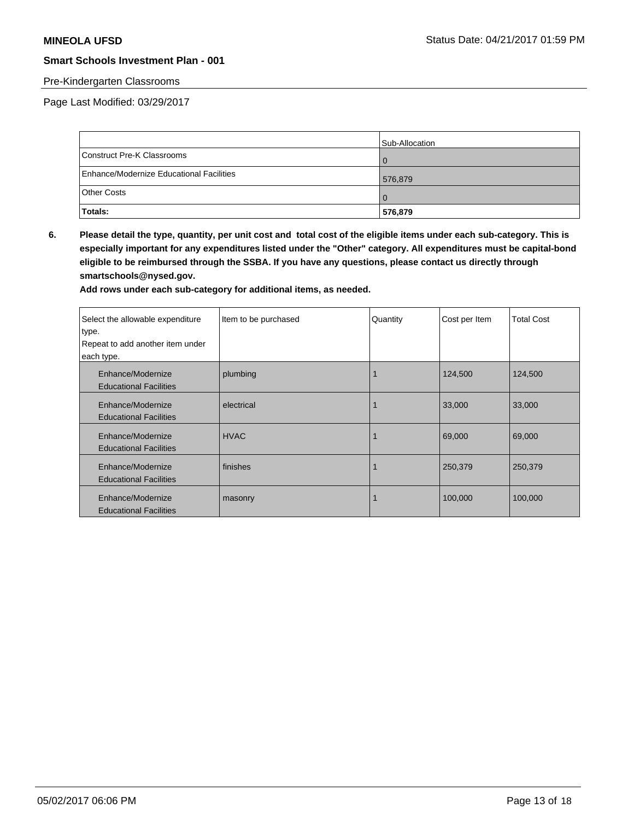# Pre-Kindergarten Classrooms

Page Last Modified: 03/29/2017

|                                          | Sub-Allocation |
|------------------------------------------|----------------|
| Construct Pre-K Classrooms               |                |
| Enhance/Modernize Educational Facilities | 576,879        |
| <b>Other Costs</b>                       |                |
| Totals:                                  | 576,879        |

**6. Please detail the type, quantity, per unit cost and total cost of the eligible items under each sub-category. This is especially important for any expenditures listed under the "Other" category. All expenditures must be capital-bond eligible to be reimbursed through the SSBA. If you have any questions, please contact us directly through smartschools@nysed.gov.**

| Select the allowable expenditure<br>type.<br>Repeat to add another item under | Item to be purchased | Quantity | Cost per Item | <b>Total Cost</b> |
|-------------------------------------------------------------------------------|----------------------|----------|---------------|-------------------|
| each type.                                                                    |                      |          |               |                   |
| Enhance/Modernize<br><b>Educational Facilities</b>                            | plumbing             |          | 124,500       | 124,500           |
| Enhance/Modernize<br><b>Educational Facilities</b>                            | electrical           |          | 33,000        | 33,000            |
| Enhance/Modernize<br><b>Educational Facilities</b>                            | <b>HVAC</b>          |          | 69,000        | 69,000            |
| Enhance/Modernize<br><b>Educational Facilities</b>                            | finishes             |          | 250,379       | 250,379           |
| Enhance/Modernize<br><b>Educational Facilities</b>                            | masonry              |          | 100,000       | 100,000           |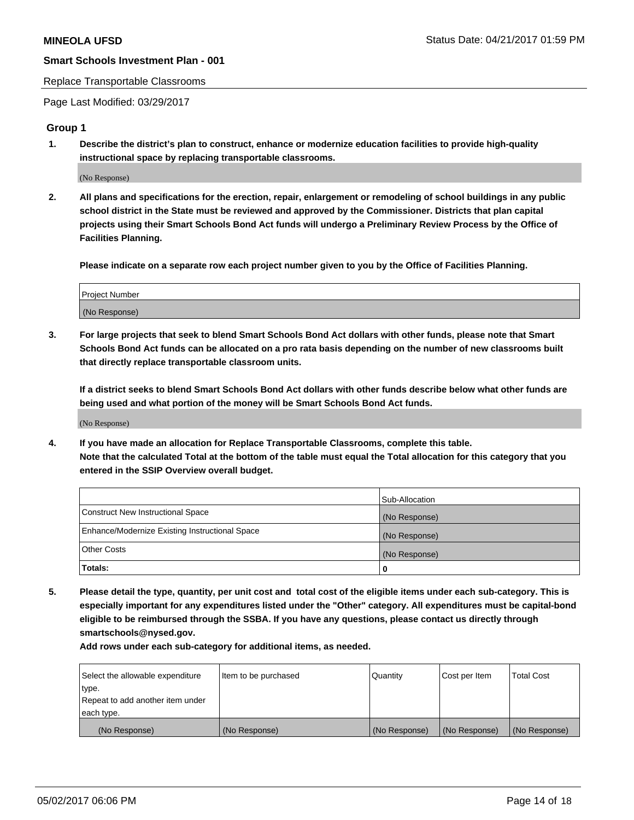#### Replace Transportable Classrooms

Page Last Modified: 03/29/2017

## **Group 1**

**1. Describe the district's plan to construct, enhance or modernize education facilities to provide high-quality instructional space by replacing transportable classrooms.**

(No Response)

**2. All plans and specifications for the erection, repair, enlargement or remodeling of school buildings in any public school district in the State must be reviewed and approved by the Commissioner. Districts that plan capital projects using their Smart Schools Bond Act funds will undergo a Preliminary Review Process by the Office of Facilities Planning.**

**Please indicate on a separate row each project number given to you by the Office of Facilities Planning.**

| Project Number |  |
|----------------|--|
| (No Response)  |  |

**3. For large projects that seek to blend Smart Schools Bond Act dollars with other funds, please note that Smart Schools Bond Act funds can be allocated on a pro rata basis depending on the number of new classrooms built that directly replace transportable classroom units.**

**If a district seeks to blend Smart Schools Bond Act dollars with other funds describe below what other funds are being used and what portion of the money will be Smart Schools Bond Act funds.**

(No Response)

**4. If you have made an allocation for Replace Transportable Classrooms, complete this table. Note that the calculated Total at the bottom of the table must equal the Total allocation for this category that you entered in the SSIP Overview overall budget.**

|                                                | Sub-Allocation |
|------------------------------------------------|----------------|
| Construct New Instructional Space              | (No Response)  |
| Enhance/Modernize Existing Instructional Space | (No Response)  |
| Other Costs                                    | (No Response)  |
| Totals:                                        | $\Omega$       |

**5. Please detail the type, quantity, per unit cost and total cost of the eligible items under each sub-category. This is especially important for any expenditures listed under the "Other" category. All expenditures must be capital-bond eligible to be reimbursed through the SSBA. If you have any questions, please contact us directly through smartschools@nysed.gov.**

| Select the allowable expenditure | Item to be purchased | Quantity      | Cost per Item | <b>Total Cost</b> |
|----------------------------------|----------------------|---------------|---------------|-------------------|
| type.                            |                      |               |               |                   |
| Repeat to add another item under |                      |               |               |                   |
| each type.                       |                      |               |               |                   |
| (No Response)                    | (No Response)        | (No Response) | (No Response) | (No Response)     |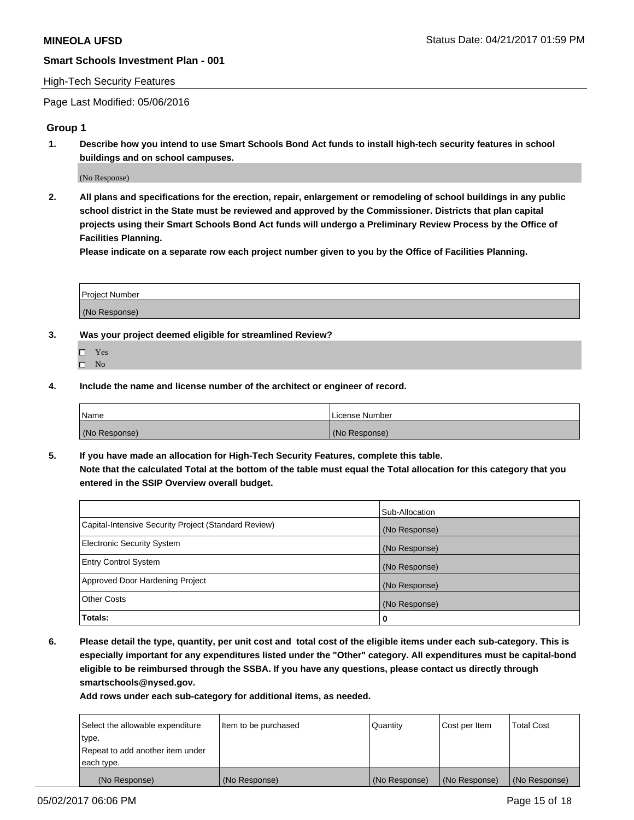### High-Tech Security Features

Page Last Modified: 05/06/2016

# **Group 1**

**1. Describe how you intend to use Smart Schools Bond Act funds to install high-tech security features in school buildings and on school campuses.**

(No Response)

**2. All plans and specifications for the erection, repair, enlargement or remodeling of school buildings in any public school district in the State must be reviewed and approved by the Commissioner. Districts that plan capital projects using their Smart Schools Bond Act funds will undergo a Preliminary Review Process by the Office of Facilities Planning.** 

**Please indicate on a separate row each project number given to you by the Office of Facilities Planning.**

| Project Number |  |
|----------------|--|
|                |  |
| (No Response)  |  |

- **3. Was your project deemed eligible for streamlined Review?**
	- Yes  $\hfill \square$  No
- **4. Include the name and license number of the architect or engineer of record.**

| Name          | License Number |
|---------------|----------------|
| (No Response) | (No Response)  |

**5. If you have made an allocation for High-Tech Security Features, complete this table. Note that the calculated Total at the bottom of the table must equal the Total allocation for this category that you entered in the SSIP Overview overall budget.**

|                                                      | Sub-Allocation |
|------------------------------------------------------|----------------|
| Capital-Intensive Security Project (Standard Review) | (No Response)  |
| Electronic Security System                           | (No Response)  |
| <b>Entry Control System</b>                          | (No Response)  |
| Approved Door Hardening Project                      | (No Response)  |
| <b>Other Costs</b>                                   | (No Response)  |
| Totals:                                              | 0              |

**6. Please detail the type, quantity, per unit cost and total cost of the eligible items under each sub-category. This is especially important for any expenditures listed under the "Other" category. All expenditures must be capital-bond eligible to be reimbursed through the SSBA. If you have any questions, please contact us directly through smartschools@nysed.gov.**

| (No Response)                    | (No Response)        | (No Response) | (No Response) | (No Response)     |
|----------------------------------|----------------------|---------------|---------------|-------------------|
| each type.                       |                      |               |               |                   |
| Repeat to add another item under |                      |               |               |                   |
| type.                            |                      |               |               |                   |
| Select the allowable expenditure | Item to be purchased | Quantity      | Cost per Item | <b>Total Cost</b> |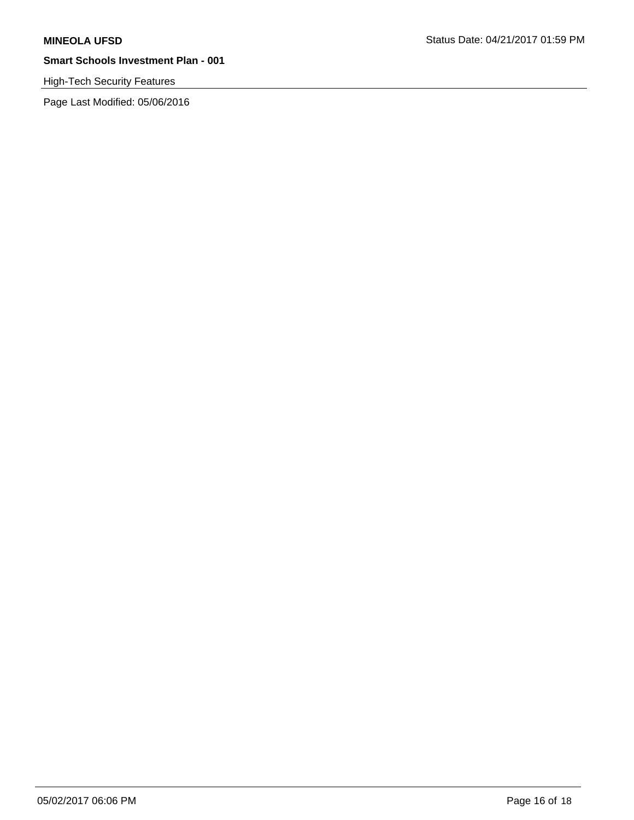High-Tech Security Features

Page Last Modified: 05/06/2016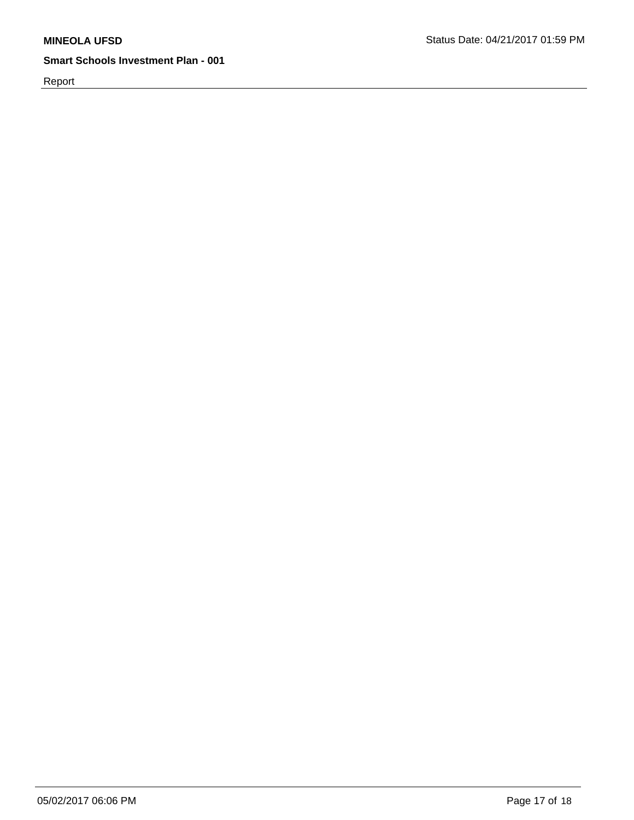Report